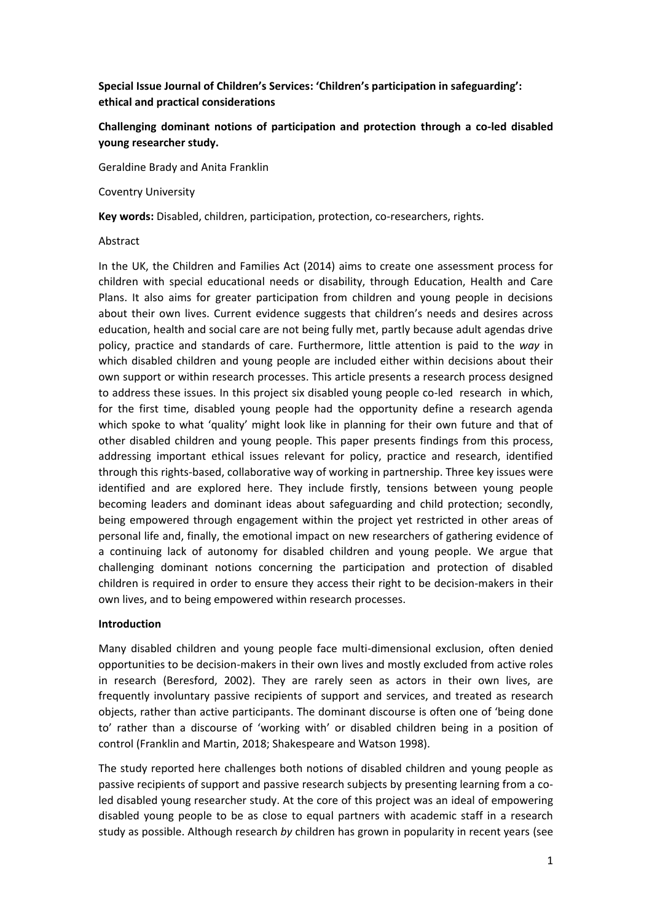**Special Issue Journal of Children's Services: 'Children's participation in safeguarding': ethical and practical considerations**

# **Challenging dominant notions of participation and protection through a co-led disabled young researcher study.**

Geraldine Brady and Anita Franklin

Coventry University

**Key words:** Disabled, children, participation, protection, co-researchers, rights.

### Abstract

In the UK, the Children and Families Act (2014) aims to create one assessment process for children with special educational needs or disability, through Education, Health and Care Plans. It also aims for greater participation from children and young people in decisions about their own lives. Current evidence suggests that children's needs and desires across education, health and social care are not being fully met, partly because adult agendas drive policy, practice and standards of care. Furthermore, little attention is paid to the *way* in which disabled children and young people are included either within decisions about their own support or within research processes. This article presents a research process designed to address these issues. In this project six disabled young people co-led research in which, for the first time, disabled young people had the opportunity define a research agenda which spoke to what 'quality' might look like in planning for their own future and that of other disabled children and young people. This paper presents findings from this process, addressing important ethical issues relevant for policy, practice and research, identified through this rights-based, collaborative way of working in partnership. Three key issues were identified and are explored here. They include firstly, tensions between young people becoming leaders and dominant ideas about safeguarding and child protection; secondly, being empowered through engagement within the project yet restricted in other areas of personal life and, finally, the emotional impact on new researchers of gathering evidence of a continuing lack of autonomy for disabled children and young people. We argue that challenging dominant notions concerning the participation and protection of disabled children is required in order to ensure they access their right to be decision-makers in their own lives, and to being empowered within research processes.

## **Introduction**

Many disabled children and young people face multi-dimensional exclusion, often denied opportunities to be decision-makers in their own lives and mostly excluded from active roles in research (Beresford, 2002). They are rarely seen as actors in their own lives, are frequently involuntary passive recipients of support and services, and treated as research objects, rather than active participants. The dominant discourse is often one of 'being done to' rather than a discourse of 'working with' or disabled children being in a position of control (Franklin and Martin, 2018; Shakespeare and Watson 1998).

The study reported here challenges both notions of disabled children and young people as passive recipients of support and passive research subjects by presenting learning from a coled disabled young researcher study. At the core of this project was an ideal of empowering disabled young people to be as close to equal partners with academic staff in a research study as possible. Although research *by* children has grown in popularity in recent years (see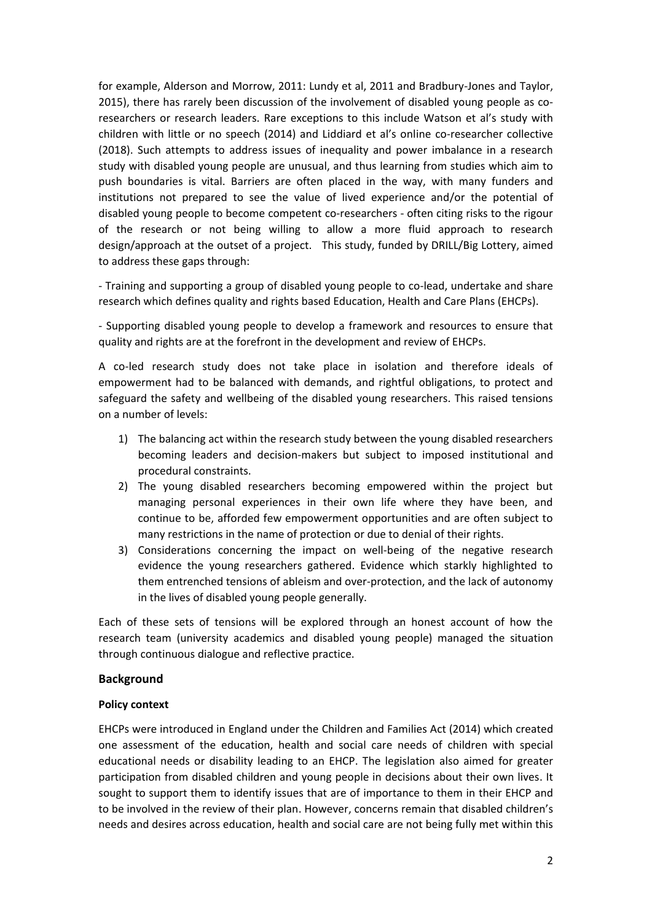for example, Alderson and Morrow, 2011: Lundy et al, 2011 and Bradbury-Jones and Taylor, 2015), there has rarely been discussion of the involvement of disabled young people as coresearchers or research leaders. Rare exceptions to this include Watson et al's study with children with little or no speech (2014) and Liddiard et al's online co-researcher collective (2018). Such attempts to address issues of inequality and power imbalance in a research study with disabled young people are unusual, and thus learning from studies which aim to push boundaries is vital. Barriers are often placed in the way, with many funders and institutions not prepared to see the value of lived experience and/or the potential of disabled young people to become competent co-researchers - often citing risks to the rigour of the research or not being willing to allow a more fluid approach to research design/approach at the outset of a project. This study, funded by DRILL/Big Lottery, aimed to address these gaps through:

- Training and supporting a group of disabled young people to co-lead, undertake and share research which defines quality and rights based Education, Health and Care Plans (EHCPs).

- Supporting disabled young people to develop a framework and resources to ensure that quality and rights are at the forefront in the development and review of EHCPs.

A co-led research study does not take place in isolation and therefore ideals of empowerment had to be balanced with demands, and rightful obligations, to protect and safeguard the safety and wellbeing of the disabled young researchers. This raised tensions on a number of levels:

- 1) The balancing act within the research study between the young disabled researchers becoming leaders and decision-makers but subject to imposed institutional and procedural constraints.
- 2) The young disabled researchers becoming empowered within the project but managing personal experiences in their own life where they have been, and continue to be, afforded few empowerment opportunities and are often subject to many restrictions in the name of protection or due to denial of their rights.
- 3) Considerations concerning the impact on well-being of the negative research evidence the young researchers gathered. Evidence which starkly highlighted to them entrenched tensions of ableism and over-protection, and the lack of autonomy in the lives of disabled young people generally.

Each of these sets of tensions will be explored through an honest account of how the research team (university academics and disabled young people) managed the situation through continuous dialogue and reflective practice.

## **Background**

## **Policy context**

EHCPs were introduced in England under the Children and Families Act (2014) which created one assessment of the education, health and social care needs of children with special educational needs or disability leading to an EHCP. The legislation also aimed for greater participation from disabled children and young people in decisions about their own lives. It sought to support them to identify issues that are of importance to them in their EHCP and to be involved in the review of their plan. However, concerns remain that disabled children's needs and desires across education, health and social care are not being fully met within this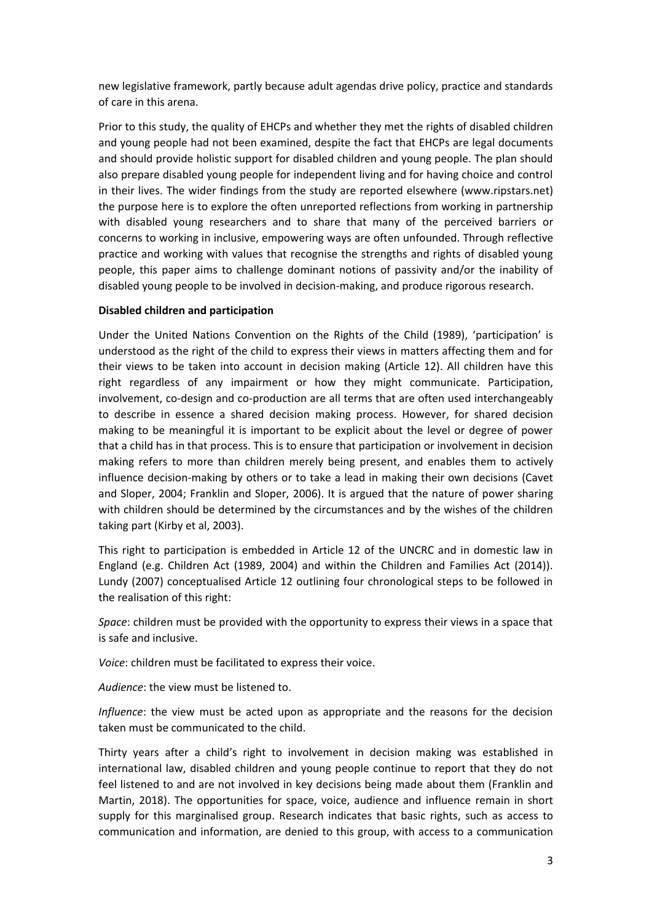new legislative framework, partly because adult agendas drive policy, practice and standards of care in this arena.

Prior to this study, the quality of EHCPs and whether they met the rights of disabled children and young people had not been examined, despite the fact that EHCPs are legal documents and should provide holistic support for disabled children and young people. The plan should also prepare disabled young people for independent living and for having choice and control in their lives. The wider findings from the study are reported elsewhere (www.ripstars.net) the purpose here is to explore the often unreported reflections from working in partnership with disabled young researchers and to share that many of the perceived barriers or concerns to working in inclusive, empowering ways are often unfounded. Through reflective practice and working with values that recognise the strengths and rights of disabled young people, this paper aims to challenge dominant notions of passivity and/or the inability of disabled young people to be involved in decision-making, and produce rigorous research.

## **Disabled children and participation**

Under the United Nations Convention on the Rights of the Child (1989), 'participation' is understood as the right of the child to express their views in matters affecting them and for their views to be taken into account in decision making (Article 12). All children have this right regardless of any impairment or how they might communicate. Participation, involvement, co-design and co-production are all terms that are often used interchangeably to describe in essence a shared decision making process. However, for shared decision making to be meaningful it is important to be explicit about the level or degree of power that a child has in that process. This is to ensure that participation or involvement in decision making refers to more than children merely being present, and enables them to actively influence decision-making by others or to take a lead in making their own decisions (Cavet and Sloper, 2004; Franklin and Sloper, 2006). It is argued that the nature of power sharing with children should be determined by the circumstances and by the wishes of the children taking part (Kirby et al, 2003).

This right to participation is embedded in Article 12 of the UNCRC and in domestic law in England (e.g. Children Act (1989, 2004) and within the Children and Families Act (2014)). Lundy (2007) conceptualised Article 12 outlining four chronological steps to be followed in the realisation of this right:

*Space*: children must be provided with the opportunity to express their views in a space that is safe and inclusive.

*Voice*: children must be facilitated to express their voice.

*Audience*: the view must be listened to.

*Influence*: the view must be acted upon as appropriate and the reasons for the decision taken must be communicated to the child.

Thirty years after a child's right to involvement in decision making was established in international law, disabled children and young people continue to report that they do not feel listened to and are not involved in key decisions being made about them (Franklin and Martin, 2018). The opportunities for space, voice, audience and influence remain in short supply for this marginalised group. Research indicates that basic rights, such as access to communication and information, are denied to this group, with access to a communication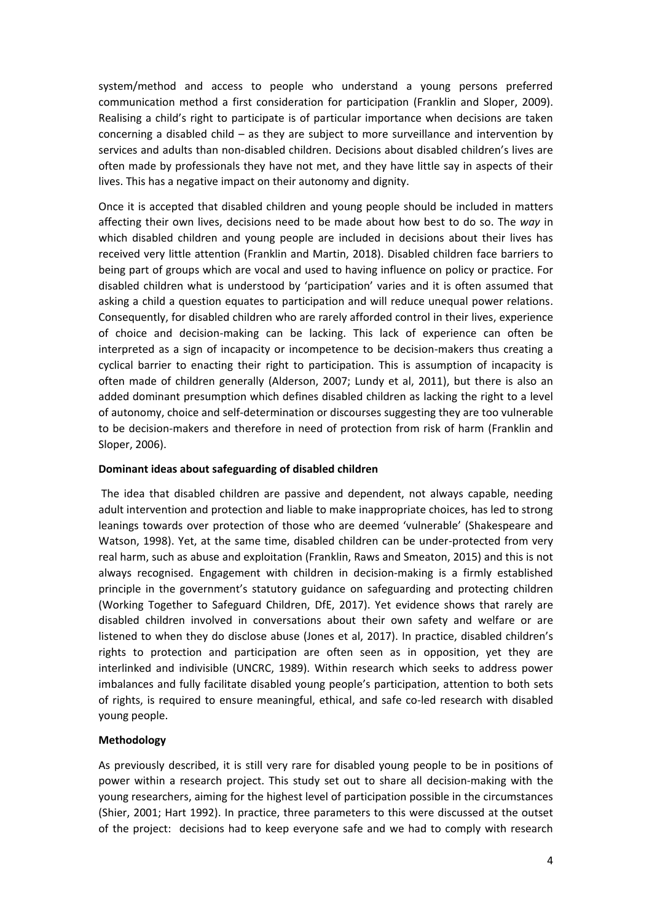system/method and access to people who understand a young persons preferred communication method a first consideration for participation (Franklin and Sloper, 2009). Realising a child's right to participate is of particular importance when decisions are taken concerning a disabled child – as they are subject to more surveillance and intervention by services and adults than non-disabled children. Decisions about disabled children's lives are often made by professionals they have not met, and they have little say in aspects of their lives. This has a negative impact on their autonomy and dignity.

Once it is accepted that disabled children and young people should be included in matters affecting their own lives, decisions need to be made about how best to do so. The *way* in which disabled children and young people are included in decisions about their lives has received very little attention (Franklin and Martin, 2018). Disabled children face barriers to being part of groups which are vocal and used to having influence on policy or practice. For disabled children what is understood by 'participation' varies and it is often assumed that asking a child a question equates to participation and will reduce unequal power relations. Consequently, for disabled children who are rarely afforded control in their lives, experience of choice and decision-making can be lacking. This lack of experience can often be interpreted as a sign of incapacity or incompetence to be decision-makers thus creating a cyclical barrier to enacting their right to participation. This is assumption of incapacity is often made of children generally (Alderson, 2007; Lundy et al, 2011), but there is also an added dominant presumption which defines disabled children as lacking the right to a level of autonomy, choice and self-determination or discourses suggesting they are too vulnerable to be decision-makers and therefore in need of protection from risk of harm (Franklin and Sloper, 2006).

## **Dominant ideas about safeguarding of disabled children**

The idea that disabled children are passive and dependent, not always capable, needing adult intervention and protection and liable to make inappropriate choices, has led to strong leanings towards over protection of those who are deemed 'vulnerable' (Shakespeare and Watson, 1998). Yet, at the same time, disabled children can be under-protected from very real harm, such as abuse and exploitation (Franklin, Raws and Smeaton, 2015) and this is not always recognised. Engagement with children in decision-making is a firmly established principle in the government's statutory guidance on safeguarding and protecting children (Working Together to Safeguard Children, DfE, 2017). Yet evidence shows that rarely are disabled children involved in conversations about their own safety and welfare or are listened to when they do disclose abuse (Jones et al, 2017). In practice, disabled children's rights to protection and participation are often seen as in opposition, yet they are interlinked and indivisible (UNCRC, 1989). Within research which seeks to address power imbalances and fully facilitate disabled young people's participation, attention to both sets of rights, is required to ensure meaningful, ethical, and safe co-led research with disabled young people.

## **Methodology**

As previously described, it is still very rare for disabled young people to be in positions of power within a research project. This study set out to share all decision-making with the young researchers, aiming for the highest level of participation possible in the circumstances (Shier, 2001; Hart 1992). In practice, three parameters to this were discussed at the outset of the project: decisions had to keep everyone safe and we had to comply with research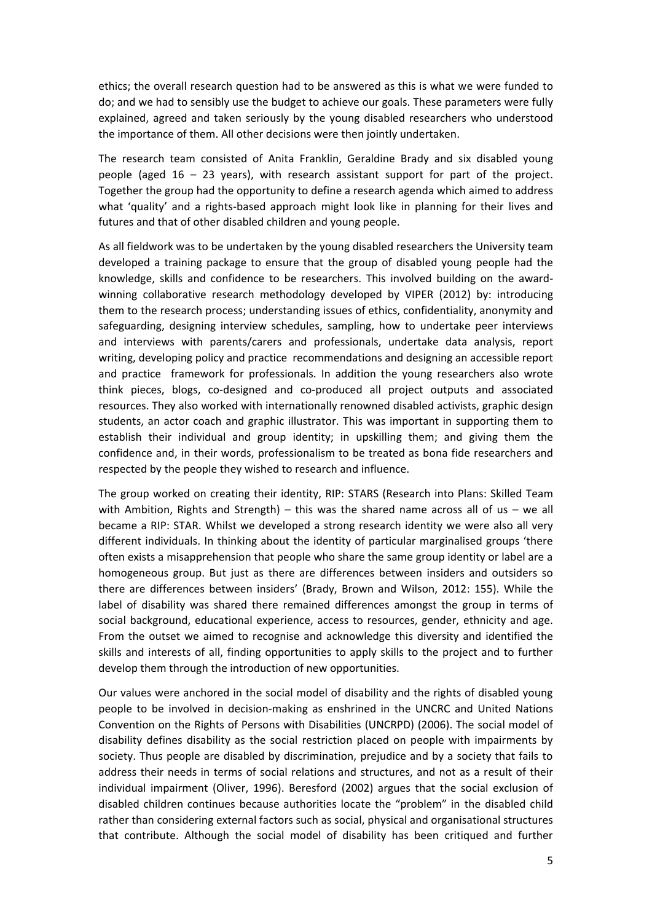ethics; the overall research question had to be answered as this is what we were funded to do; and we had to sensibly use the budget to achieve our goals. These parameters were fully explained, agreed and taken seriously by the young disabled researchers who understood the importance of them. All other decisions were then jointly undertaken.

The research team consisted of Anita Franklin, Geraldine Brady and six disabled young people (aged  $16 - 23$  years), with research assistant support for part of the project. Together the group had the opportunity to define a research agenda which aimed to address what 'quality' and a rights-based approach might look like in planning for their lives and futures and that of other disabled children and young people.

As all fieldwork was to be undertaken by the young disabled researchers the University team developed a training package to ensure that the group of disabled young people had the knowledge, skills and confidence to be researchers. This involved building on the awardwinning collaborative research methodology developed by VIPER (2012) by: introducing them to the research process; understanding issues of ethics, confidentiality, anonymity and safeguarding, designing interview schedules, sampling, how to undertake peer interviews and interviews with parents/carers and professionals, undertake data analysis, report writing, developing policy and practice recommendations and designing an accessible report and practice framework for professionals. In addition the young researchers also wrote think pieces, blogs, co-designed and co-produced all project outputs and associated resources. They also worked with internationally renowned disabled activists, graphic design students, an actor coach and graphic illustrator. This was important in supporting them to establish their individual and group identity; in upskilling them; and giving them the confidence and, in their words, professionalism to be treated as bona fide researchers and respected by the people they wished to research and influence.

The group worked on creating their identity, RIP: STARS (Research into Plans: Skilled Team with Ambition, Rights and Strength) – this was the shared name across all of us – we all became a RIP: STAR. Whilst we developed a strong research identity we were also all very different individuals. In thinking about the identity of particular marginalised groups 'there often exists a misapprehension that people who share the same group identity or label are a homogeneous group. But just as there are differences between insiders and outsiders so there are differences between insiders' (Brady, Brown and Wilson, 2012: 155). While the label of disability was shared there remained differences amongst the group in terms of social background, educational experience, access to resources, gender, ethnicity and age. From the outset we aimed to recognise and acknowledge this diversity and identified the skills and interests of all, finding opportunities to apply skills to the project and to further develop them through the introduction of new opportunities.

Our values were anchored in the social model of disability and the rights of disabled young people to be involved in decision-making as enshrined in the UNCRC and United Nations Convention on the Rights of Persons with Disabilities (UNCRPD) (2006). The social model of disability defines disability as the social restriction placed on people with impairments by society. Thus people are disabled by discrimination, prejudice and by a society that fails to address their needs in terms of social relations and structures, and not as a result of their individual impairment (Oliver, 1996). Beresford (2002) argues that the social exclusion of disabled children continues because authorities locate the "problem" in the disabled child rather than considering external factors such as social, physical and organisational structures that contribute. Although the social model of disability has been critiqued and further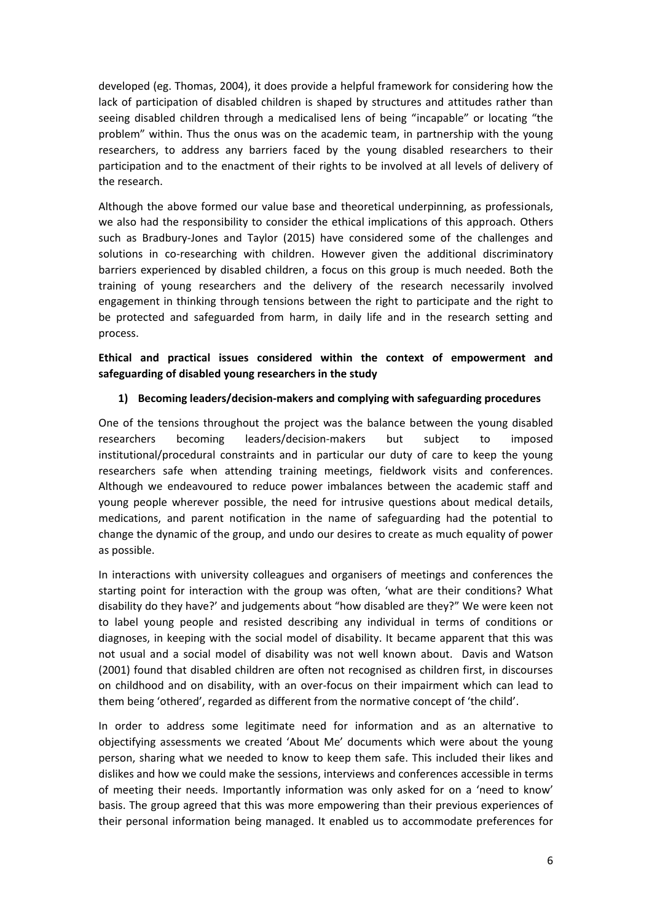developed (eg. Thomas, 2004), it does provide a helpful framework for considering how the lack of participation of disabled children is shaped by structures and attitudes rather than seeing disabled children through a medicalised lens of being "incapable" or locating "the problem" within. Thus the onus was on the academic team, in partnership with the young researchers, to address any barriers faced by the young disabled researchers to their participation and to the enactment of their rights to be involved at all levels of delivery of the research.

Although the above formed our value base and theoretical underpinning, as professionals, we also had the responsibility to consider the ethical implications of this approach. Others such as Bradbury-Jones and Taylor (2015) have considered some of the challenges and solutions in co-researching with children. However given the additional discriminatory barriers experienced by disabled children, a focus on this group is much needed. Both the training of young researchers and the delivery of the research necessarily involved engagement in thinking through tensions between the right to participate and the right to be protected and safeguarded from harm, in daily life and in the research setting and process.

# **Ethical and practical issues considered within the context of empowerment and safeguarding of disabled young researchers in the study**

# **1) Becoming leaders/decision-makers and complying with safeguarding procedures**

One of the tensions throughout the project was the balance between the young disabled researchers becoming leaders/decision-makers but subject to imposed institutional/procedural constraints and in particular our duty of care to keep the young researchers safe when attending training meetings, fieldwork visits and conferences. Although we endeavoured to reduce power imbalances between the academic staff and young people wherever possible, the need for intrusive questions about medical details, medications, and parent notification in the name of safeguarding had the potential to change the dynamic of the group, and undo our desires to create as much equality of power as possible.

In interactions with university colleagues and organisers of meetings and conferences the starting point for interaction with the group was often, 'what are their conditions? What disability do they have?' and judgements about "how disabled are they?" We were keen not to label young people and resisted describing any individual in terms of conditions or diagnoses, in keeping with the social model of disability. It became apparent that this was not usual and a social model of disability was not well known about. Davis and Watson (2001) found that disabled children are often not recognised as children first, in discourses on childhood and on disability, with an over-focus on their impairment which can lead to them being 'othered', regarded as different from the normative concept of 'the child'.

In order to address some legitimate need for information and as an alternative to objectifying assessments we created 'About Me' documents which were about the young person, sharing what we needed to know to keep them safe. This included their likes and dislikes and how we could make the sessions, interviews and conferences accessible in terms of meeting their needs. Importantly information was only asked for on a 'need to know' basis. The group agreed that this was more empowering than their previous experiences of their personal information being managed. It enabled us to accommodate preferences for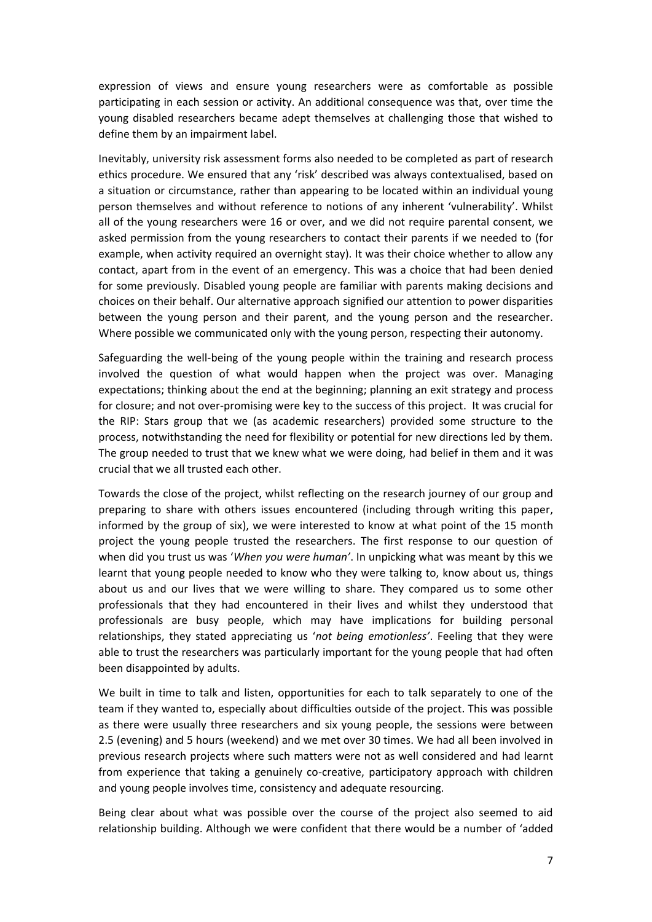expression of views and ensure young researchers were as comfortable as possible participating in each session or activity. An additional consequence was that, over time the young disabled researchers became adept themselves at challenging those that wished to define them by an impairment label.

Inevitably, university risk assessment forms also needed to be completed as part of research ethics procedure. We ensured that any 'risk' described was always contextualised, based on a situation or circumstance, rather than appearing to be located within an individual young person themselves and without reference to notions of any inherent 'vulnerability'. Whilst all of the young researchers were 16 or over, and we did not require parental consent, we asked permission from the young researchers to contact their parents if we needed to (for example, when activity required an overnight stay). It was their choice whether to allow any contact, apart from in the event of an emergency. This was a choice that had been denied for some previously. Disabled young people are familiar with parents making decisions and choices on their behalf. Our alternative approach signified our attention to power disparities between the young person and their parent, and the young person and the researcher. Where possible we communicated only with the young person, respecting their autonomy.

Safeguarding the well-being of the young people within the training and research process involved the question of what would happen when the project was over. Managing expectations; thinking about the end at the beginning; planning an exit strategy and process for closure; and not over-promising were key to the success of this project. It was crucial for the RIP: Stars group that we (as academic researchers) provided some structure to the process, notwithstanding the need for flexibility or potential for new directions led by them. The group needed to trust that we knew what we were doing, had belief in them and it was crucial that we all trusted each other.

Towards the close of the project, whilst reflecting on the research journey of our group and preparing to share with others issues encountered (including through writing this paper, informed by the group of six), we were interested to know at what point of the 15 month project the young people trusted the researchers. The first response to our question of when did you trust us was '*When you were human'*. In unpicking what was meant by this we learnt that young people needed to know who they were talking to, know about us, things about us and our lives that we were willing to share. They compared us to some other professionals that they had encountered in their lives and whilst they understood that professionals are busy people, which may have implications for building personal relationships, they stated appreciating us '*not being emotionless'*. Feeling that they were able to trust the researchers was particularly important for the young people that had often been disappointed by adults.

We built in time to talk and listen, opportunities for each to talk separately to one of the team if they wanted to, especially about difficulties outside of the project. This was possible as there were usually three researchers and six young people, the sessions were between 2.5 (evening) and 5 hours (weekend) and we met over 30 times. We had all been involved in previous research projects where such matters were not as well considered and had learnt from experience that taking a genuinely co-creative, participatory approach with children and young people involves time, consistency and adequate resourcing.

Being clear about what was possible over the course of the project also seemed to aid relationship building. Although we were confident that there would be a number of 'added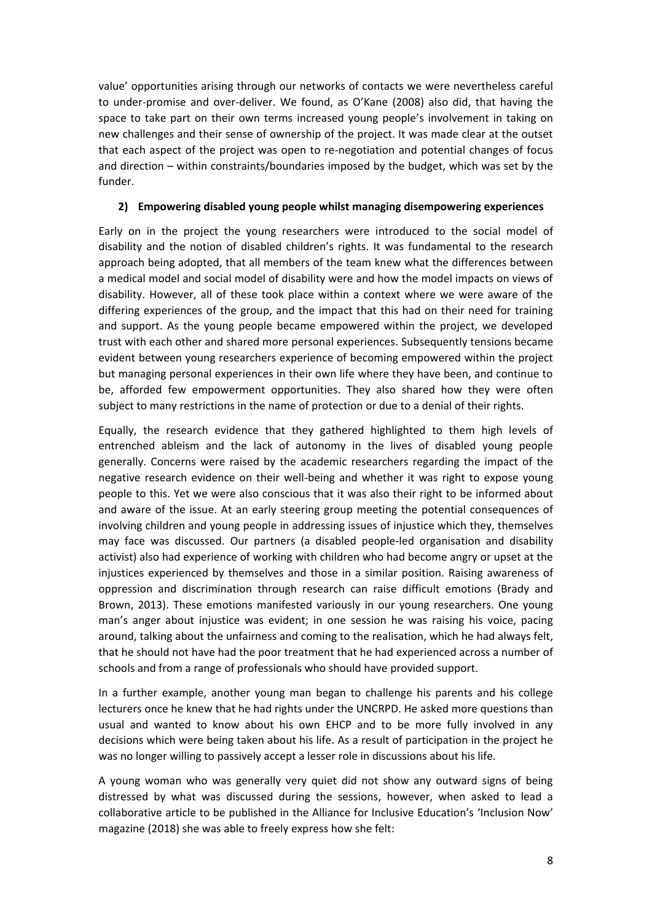value' opportunities arising through our networks of contacts we were nevertheless careful to under-promise and over-deliver. We found, as O'Kane (2008) also did, that having the space to take part on their own terms increased young people's involvement in taking on new challenges and their sense of ownership of the project. It was made clear at the outset that each aspect of the project was open to re-negotiation and potential changes of focus and direction – within constraints/boundaries imposed by the budget, which was set by the funder.

## **2) Empowering disabled young people whilst managing disempowering experiences**

Early on in the project the young researchers were introduced to the social model of disability and the notion of disabled children's rights. It was fundamental to the research approach being adopted, that all members of the team knew what the differences between a medical model and social model of disability were and how the model impacts on views of disability. However, all of these took place within a context where we were aware of the differing experiences of the group, and the impact that this had on their need for training and support. As the young people became empowered within the project, we developed trust with each other and shared more personal experiences. Subsequently tensions became evident between young researchers experience of becoming empowered within the project but managing personal experiences in their own life where they have been, and continue to be, afforded few empowerment opportunities. They also shared how they were often subject to many restrictions in the name of protection or due to a denial of their rights.

Equally, the research evidence that they gathered highlighted to them high levels of entrenched ableism and the lack of autonomy in the lives of disabled young people generally. Concerns were raised by the academic researchers regarding the impact of the negative research evidence on their well-being and whether it was right to expose young people to this. Yet we were also conscious that it was also their right to be informed about and aware of the issue. At an early steering group meeting the potential consequences of involving children and young people in addressing issues of injustice which they, themselves may face was discussed. Our partners (a disabled people-led organisation and disability activist) also had experience of working with children who had become angry or upset at the injustices experienced by themselves and those in a similar position. Raising awareness of oppression and discrimination through research can raise difficult emotions (Brady and Brown, 2013). These emotions manifested variously in our young researchers. One young man's anger about injustice was evident; in one session he was raising his voice, pacing around, talking about the unfairness and coming to the realisation, which he had always felt, that he should not have had the poor treatment that he had experienced across a number of schools and from a range of professionals who should have provided support.

In a further example, another young man began to challenge his parents and his college lecturers once he knew that he had rights under the UNCRPD. He asked more questions than usual and wanted to know about his own EHCP and to be more fully involved in any decisions which were being taken about his life. As a result of participation in the project he was no longer willing to passively accept a lesser role in discussions about his life.

A young woman who was generally very quiet did not show any outward signs of being distressed by what was discussed during the sessions, however, when asked to lead a collaborative article to be published in the Alliance for Inclusive Education's 'Inclusion Now' magazine (2018) she was able to freely express how she felt: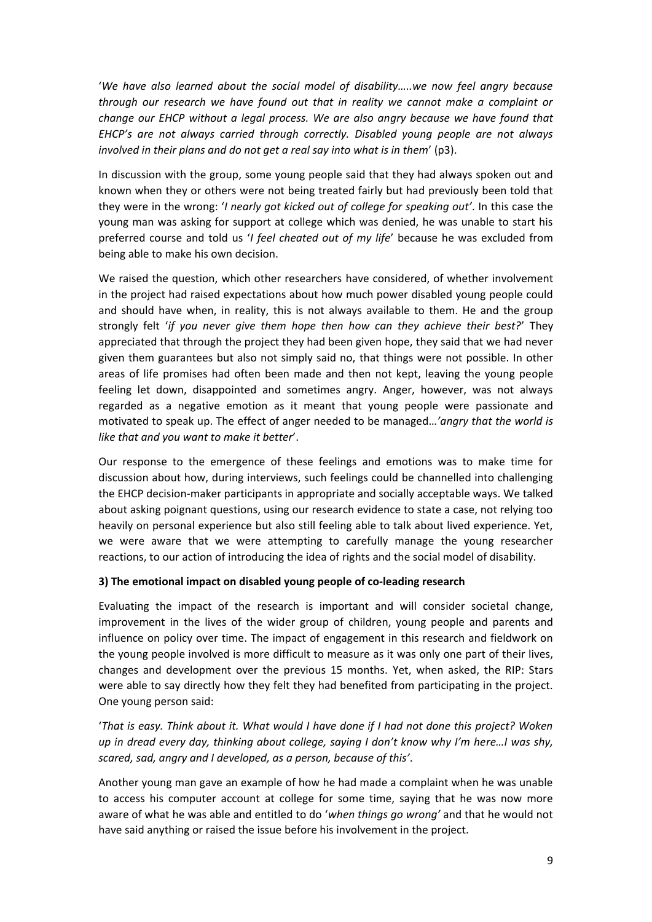'*We have also learned about the social model of disability…..we now feel angry because through our research we have found out that in reality we cannot make a complaint or change our EHCP without a legal process. We are also angry because we have found that EHCP's are not always carried through correctly. Disabled young people are not always involved in their plans and do not get a real say into what is in them*' (p3).

In discussion with the group, some young people said that they had always spoken out and known when they or others were not being treated fairly but had previously been told that they were in the wrong: '*I nearly got kicked out of college for speaking out'*. In this case the young man was asking for support at college which was denied, he was unable to start his preferred course and told us '*I feel cheated out of my life*' because he was excluded from being able to make his own decision.

We raised the question, which other researchers have considered, of whether involvement in the project had raised expectations about how much power disabled young people could and should have when, in reality, this is not always available to them. He and the group strongly felt '*if you never give them hope then how can they achieve their best?*' They appreciated that through the project they had been given hope, they said that we had never given them guarantees but also not simply said no, that things were not possible. In other areas of life promises had often been made and then not kept, leaving the young people feeling let down, disappointed and sometimes angry. Anger, however, was not always regarded as a negative emotion as it meant that young people were passionate and motivated to speak up. The effect of anger needed to be managed…*'angry that the world is like that and you want to make it better*'.

Our response to the emergence of these feelings and emotions was to make time for discussion about how, during interviews, such feelings could be channelled into challenging the EHCP decision-maker participants in appropriate and socially acceptable ways. We talked about asking poignant questions, using our research evidence to state a case, not relying too heavily on personal experience but also still feeling able to talk about lived experience. Yet, we were aware that we were attempting to carefully manage the young researcher reactions, to our action of introducing the idea of rights and the social model of disability.

## **3) The emotional impact on disabled young people of co-leading research**

Evaluating the impact of the research is important and will consider societal change, improvement in the lives of the wider group of children, young people and parents and influence on policy over time. The impact of engagement in this research and fieldwork on the young people involved is more difficult to measure as it was only one part of their lives, changes and development over the previous 15 months. Yet, when asked, the RIP: Stars were able to say directly how they felt they had benefited from participating in the project. One young person said:

'*That is easy. Think about it. What would I have done if I had not done this project? Woken up in dread every day, thinking about college, saying I don't know why I'm here…I was shy, scared, sad, angry and I developed, as a person, because of this'*.

Another young man gave an example of how he had made a complaint when he was unable to access his computer account at college for some time, saying that he was now more aware of what he was able and entitled to do '*when things go wrong'* and that he would not have said anything or raised the issue before his involvement in the project.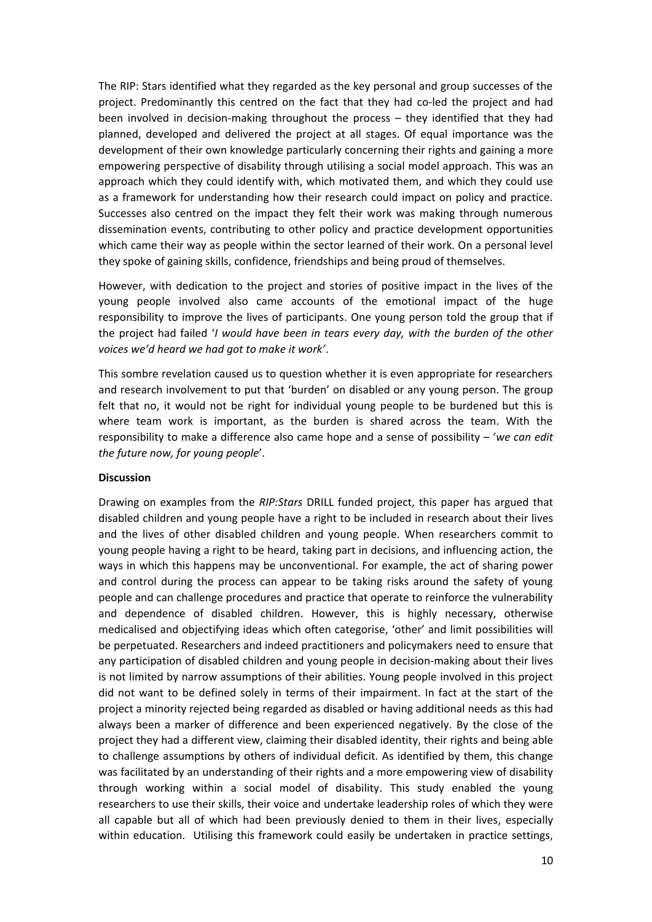The RIP: Stars identified what they regarded as the key personal and group successes of the project. Predominantly this centred on the fact that they had co-led the project and had been involved in decision-making throughout the process – they identified that they had planned, developed and delivered the project at all stages. Of equal importance was the development of their own knowledge particularly concerning their rights and gaining a more empowering perspective of disability through utilising a social model approach. This was an approach which they could identify with, which motivated them, and which they could use as a framework for understanding how their research could impact on policy and practice. Successes also centred on the impact they felt their work was making through numerous dissemination events, contributing to other policy and practice development opportunities which came their way as people within the sector learned of their work. On a personal level they spoke of gaining skills, confidence, friendships and being proud of themselves.

However, with dedication to the project and stories of positive impact in the lives of the young people involved also came accounts of the emotional impact of the huge responsibility to improve the lives of participants. One young person told the group that if the project had failed '*I would have been in tears every day, with the burden of the other voices we'd heard we had got to make it work'*.

This sombre revelation caused us to question whether it is even appropriate for researchers and research involvement to put that 'burden' on disabled or any young person. The group felt that no, it would not be right for individual young people to be burdened but this is where team work is important, as the burden is shared across the team. With the responsibility to make a difference also came hope and a sense of possibility – '*we can edit the future now, for young people*'.

## **Discussion**

Drawing on examples from the *RIP:Stars* DRILL funded project, this paper has argued that disabled children and young people have a right to be included in research about their lives and the lives of other disabled children and young people. When researchers commit to young people having a right to be heard, taking part in decisions, and influencing action, the ways in which this happens may be unconventional. For example, the act of sharing power and control during the process can appear to be taking risks around the safety of young people and can challenge procedures and practice that operate to reinforce the vulnerability and dependence of disabled children. However, this is highly necessary, otherwise medicalised and objectifying ideas which often categorise, 'other' and limit possibilities will be perpetuated. Researchers and indeed practitioners and policymakers need to ensure that any participation of disabled children and young people in decision-making about their lives is not limited by narrow assumptions of their abilities. Young people involved in this project did not want to be defined solely in terms of their impairment. In fact at the start of the project a minority rejected being regarded as disabled or having additional needs as this had always been a marker of difference and been experienced negatively. By the close of the project they had a different view, claiming their disabled identity, their rights and being able to challenge assumptions by others of individual deficit. As identified by them, this change was facilitated by an understanding of their rights and a more empowering view of disability through working within a social model of disability. This study enabled the young researchers to use their skills, their voice and undertake leadership roles of which they were all capable but all of which had been previously denied to them in their lives, especially within education. Utilising this framework could easily be undertaken in practice settings,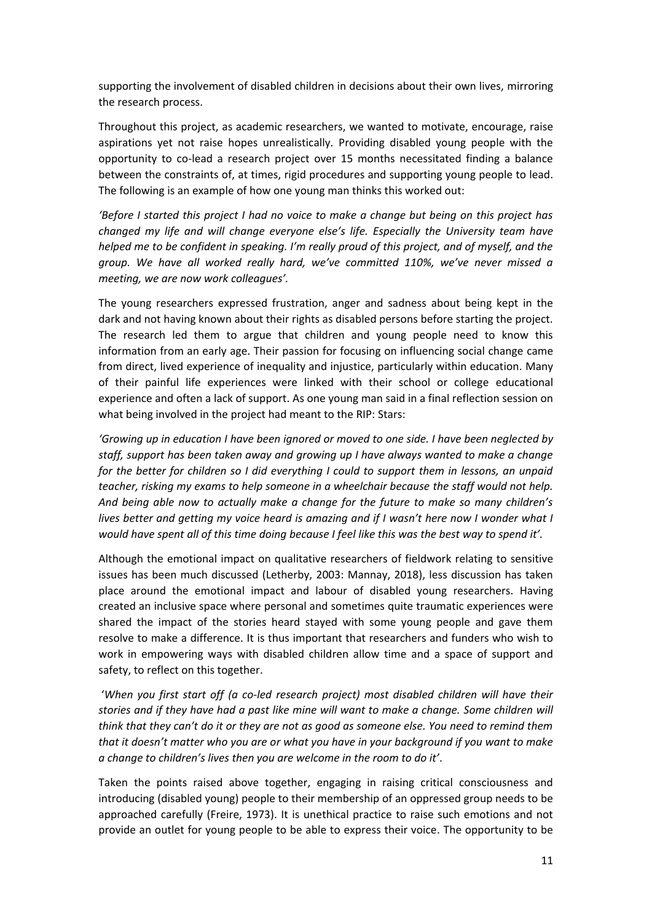supporting the involvement of disabled children in decisions about their own lives, mirroring the research process.

Throughout this project, as academic researchers, we wanted to motivate, encourage, raise aspirations yet not raise hopes unrealistically. Providing disabled young people with the opportunity to co-lead a research project over 15 months necessitated finding a balance between the constraints of, at times, rigid procedures and supporting young people to lead. The following is an example of how one young man thinks this worked out:

*'Before I started this project I had no voice to make a change but being on this project has changed my life and will change everyone else's life. Especially the University team have helped me to be confident in speaking. I'm really proud of this project, and of myself, and the group. We have all worked really hard, we've committed 110%, we've never missed a meeting, we are now work colleagues'.*

The young researchers expressed frustration, anger and sadness about being kept in the dark and not having known about their rights as disabled persons before starting the project. The research led them to argue that children and young people need to know this information from an early age. Their passion for focusing on influencing social change came from direct, lived experience of inequality and injustice, particularly within education. Many of their painful life experiences were linked with their school or college educational experience and often a lack of support. As one young man said in a final reflection session on what being involved in the project had meant to the RIP: Stars:

*'Growing up in education I have been ignored or moved to one side. I have been neglected by staff, support has been taken away and growing up I have always wanted to make a change for the better for children so I did everything I could to support them in lessons, an unpaid teacher, risking my exams to help someone in a wheelchair because the staff would not help. And being able now to actually make a change for the future to make so many children's lives better and getting my voice heard is amazing and if I wasn't here now I wonder what I would have spent all of this time doing because I feel like this was the best way to spend it'.* 

Although the emotional impact on qualitative researchers of fieldwork relating to sensitive issues has been much discussed (Letherby, 2003: Mannay, 2018), less discussion has taken place around the emotional impact and labour of disabled young researchers. Having created an inclusive space where personal and sometimes quite traumatic experiences were shared the impact of the stories heard stayed with some young people and gave them resolve to make a difference. It is thus important that researchers and funders who wish to work in empowering ways with disabled children allow time and a space of support and safety, to reflect on this together.

'*When you first start off (a co-led research project) most disabled children will have their stories and if they have had a past like mine will want to make a change. Some children will think that they can't do it or they are not as good as someone else. You need to remind them that it doesn't matter who you are or what you have in your background if you want to make a change to children's lives then you are welcome in the room to do it'*.

Taken the points raised above together, engaging in raising critical consciousness and introducing (disabled young) people to their membership of an oppressed group needs to be approached carefully (Freire, 1973). It is unethical practice to raise such emotions and not provide an outlet for young people to be able to express their voice. The opportunity to be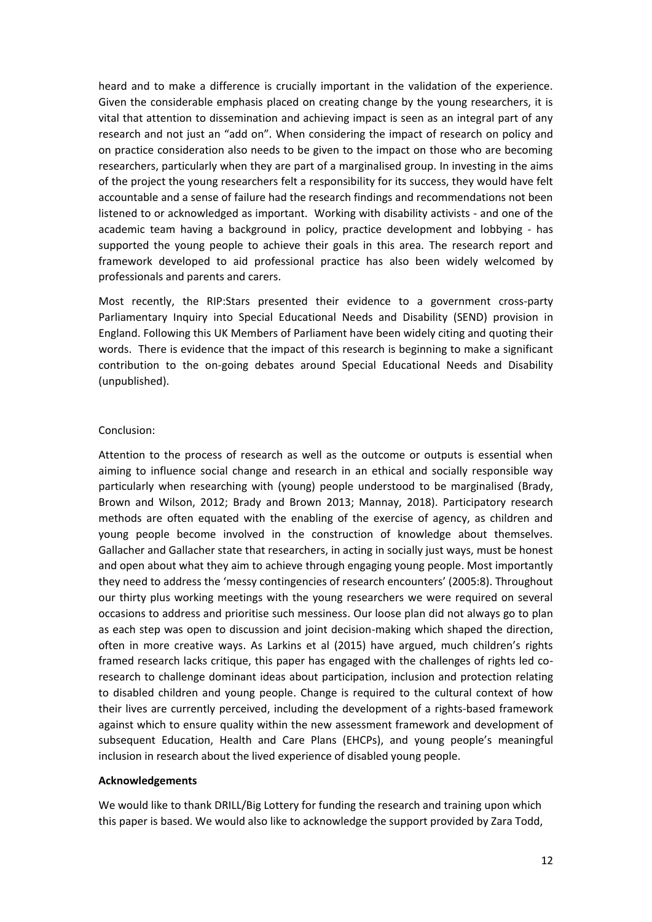heard and to make a difference is crucially important in the validation of the experience. Given the considerable emphasis placed on creating change by the young researchers, it is vital that attention to dissemination and achieving impact is seen as an integral part of any research and not just an "add on". When considering the impact of research on policy and on practice consideration also needs to be given to the impact on those who are becoming researchers, particularly when they are part of a marginalised group. In investing in the aims of the project the young researchers felt a responsibility for its success, they would have felt accountable and a sense of failure had the research findings and recommendations not been listened to or acknowledged as important. Working with disability activists - and one of the academic team having a background in policy, practice development and lobbying - has supported the young people to achieve their goals in this area. The research report and framework developed to aid professional practice has also been widely welcomed by professionals and parents and carers.

Most recently, the RIP:Stars presented their evidence to a government cross-party Parliamentary Inquiry into Special Educational Needs and Disability (SEND) provision in England. Following this UK Members of Parliament have been widely citing and quoting their words. There is evidence that the impact of this research is beginning to make a significant contribution to the on-going debates around Special Educational Needs and Disability (unpublished).

### Conclusion:

Attention to the process of research as well as the outcome or outputs is essential when aiming to influence social change and research in an ethical and socially responsible way particularly when researching with (young) people understood to be marginalised (Brady, Brown and Wilson, 2012; Brady and Brown 2013; Mannay, 2018). Participatory research methods are often equated with the enabling of the exercise of agency, as children and young people become involved in the construction of knowledge about themselves. Gallacher and Gallacher state that researchers, in acting in socially just ways, must be honest and open about what they aim to achieve through engaging young people. Most importantly they need to address the 'messy contingencies of research encounters' (2005:8). Throughout our thirty plus working meetings with the young researchers we were required on several occasions to address and prioritise such messiness. Our loose plan did not always go to plan as each step was open to discussion and joint decision-making which shaped the direction, often in more creative ways. As Larkins et al (2015) have argued, much children's rights framed research lacks critique, this paper has engaged with the challenges of rights led coresearch to challenge dominant ideas about participation, inclusion and protection relating to disabled children and young people. Change is required to the cultural context of how their lives are currently perceived, including the development of a rights-based framework against which to ensure quality within the new assessment framework and development of subsequent Education, Health and Care Plans (EHCPs), and young people's meaningful inclusion in research about the lived experience of disabled young people.

#### **Acknowledgements**

We would like to thank DRILL/Big Lottery for funding the research and training upon which this paper is based. We would also like to acknowledge the support provided by Zara Todd,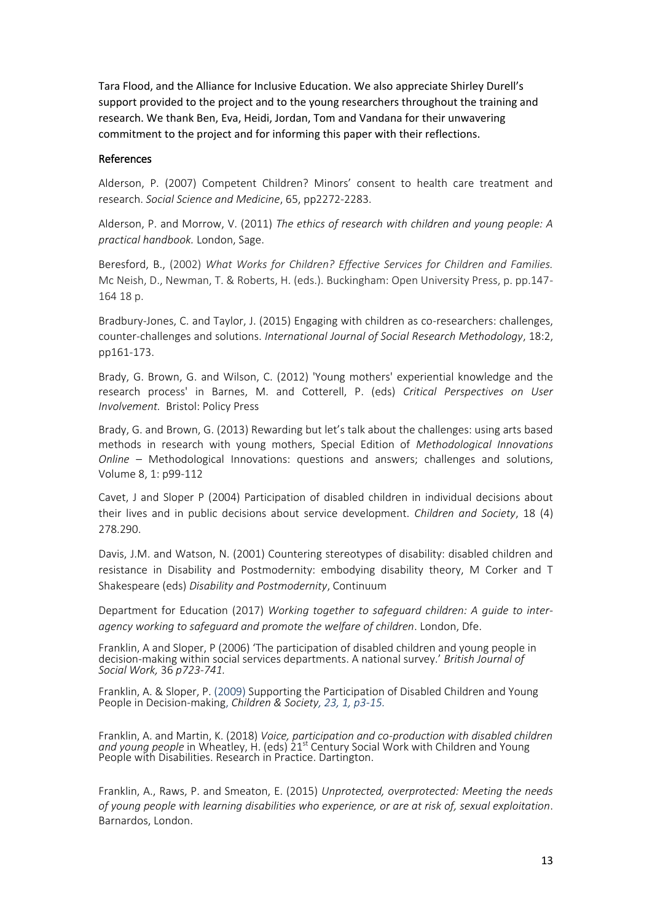Tara Flood, and the Alliance for Inclusive Education. We also appreciate Shirley Durell's support provided to the project and to the young researchers throughout the training and research. We thank Ben, Eva, Heidi, Jordan, Tom and Vandana for their unwavering commitment to the project and for informing this paper with their reflections.

#### References

Alderson, P. (2007) Competent Children? Minors' consent to health care treatment and research. *Social Science and Medicine*, 65, pp2272-2283.

Alderson, P. and Morrow, V. (2011) *The ethics of research with children and young people: A practical handbook.* London, Sage.

[Beresford, B.,](https://pure.york.ac.uk/portal/en/researchers/bryony-anne-beresford(1afc3825-f58d-4105-a7b6-aa2500546cde).html) (2002) *What Works for Children? Effective Services for Children and Families.* Mc Neish, D., Newman, T. & Roberts, H. (eds.). Buckingham: Open University Press, p. pp.147- 164 18 p.

Bradbury-Jones, C. and Taylor, J. (2015) Engaging with children as co-researchers: challenges, counter-challenges and solutions. *International Journal of Social Research Methodology*, 18:2, pp161-173.

Brady, G. Brown, G. and Wilson, C. (2012) 'Young mothers' experiential knowledge and the research process' in Barnes, M. and Cotterell, P. (eds) *Critical Perspectives on User Involvement.* Bristol: Policy Press

Brady, G. and Brown, G. (2013) Rewarding but let's talk about the challenges: using arts based methods in research with young mothers, Special Edition of *Methodological Innovations Online* – Methodological Innovations: questions and answers; challenges and solutions, Volume 8, 1: p99-112

Cavet, J and Sloper P (2004) Participation of disabled children in individual decisions about their lives and in public decisions about service development. *Children and Society*, 18 (4) 278.290.

Davis, J.M. and Watson, N. (2001) Countering stereotypes of disability: disabled children and resistance in Disability and Postmodernity: embodying disability theory, M Corker and T Shakespeare (eds) *Disability and Postmodernity*, Continuum

Department for Education (2017) *Working together to safeguard children: A guide to interagency working to safeguard and promote the welfare of children*. London, Dfe.

Franklin, A and Sloper, P (2006) 'The participation of disabled children and young people in decision-making within social services departments. A national survey.' *British Journal of Social Work,* 36 *p723-741.*

Franklin, A. & Sloper, P. (2009) Supporting the Participation of Disabled Children and Young People in Decision-making, *Children & Society, 23, 1, p3-15.*

Franklin, A. and Martin, K. (2018) *Voice, participation and co-production with disabled children*  and young people in Wheatley, H. (eds) 21<sup>st</sup> Century Social Work with Children and Young People with Disabilities. Research in Practice. Dartington.

Franklin, A., Raws, P. and Smeaton, E. (2015) *Unprotected, overprotected: Meeting the needs of young people with learning disabilities who experience, or are at risk of, sexual exploitation*. Barnardos, London.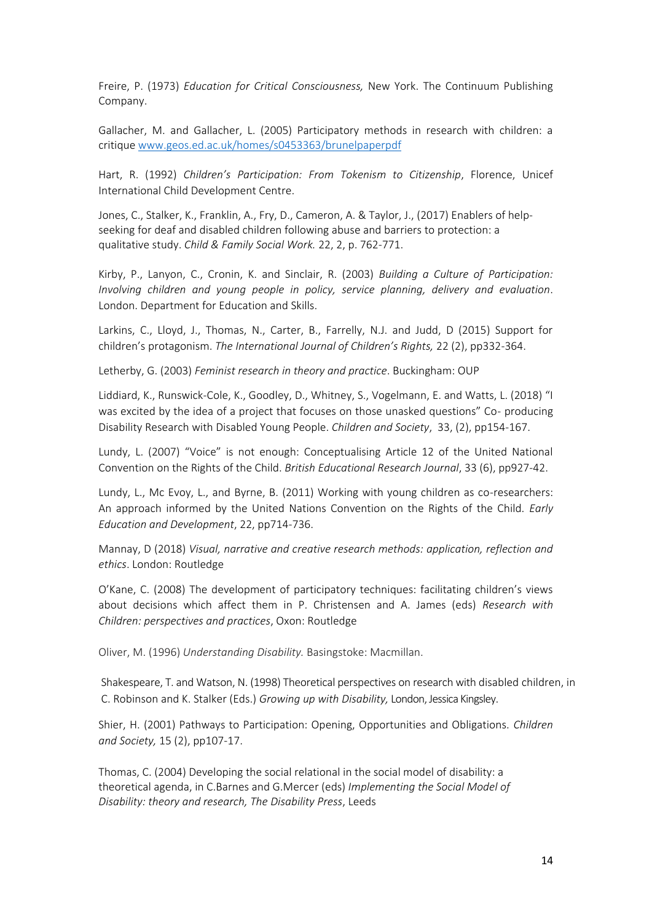Freire, P. (1973) *Education for Critical Consciousness,* New York. The Continuum Publishing Company.

Gallacher, M. and Gallacher, L. (2005) Participatory methods in research with children: a critique [www.geos.ed.ac.uk/homes/s0453363/brunelpaperpdf](http://www.geos.ed.ac.uk/homes/s0453363/brunelpaperpdf)

Hart, R. (1992) *Children's Participation: From Tokenism to Citizenship*, Florence, Unicef International Child Development Centre.

Jones, C., Stalker, K., [Franklin, A.,](https://pureportal.coventry.ac.uk/en/persons/anita-franklin) Fry, D., Cameron, A. & Taylor, J., (2017) [Enablers of help](https://pureportal.coventry.ac.uk/en/publications/enablers-of-help-seeking-for-deaf-and-disabled-children-following-2)[seeking for deaf and disabled children following abuse and barriers to protection: a](https://pureportal.coventry.ac.uk/en/publications/enablers-of-help-seeking-for-deaf-and-disabled-children-following-2)  [qualitative study.](https://pureportal.coventry.ac.uk/en/publications/enablers-of-help-seeking-for-deaf-and-disabled-children-following-2) *Child & Family Social Work.* 22, 2, p. 762-771.

Kirby, P., Lanyon, C., Cronin, K. and Sinclair, R. (2003) *Building a Culture of Participation: Involving children and young people in policy, service planning, delivery and evaluation*. London. Department for Education and Skills.

Larkins, C., Lloyd, J., Thomas, N., Carter, B., Farrelly, N.J. and Judd, D (2015) Support for children's protagonism. *The International Journal of Children's Rights,* 22 (2), pp332-364.

Letherby, G. (2003) *Feminist research in theory and practice*. Buckingham: OUP

Liddiard, K., Runswick-Cole, K., Goodley, D., Whitney, S., Vogelmann, E. and Watts, L. (2018) "I was excited by the idea of a project that focuses on those unasked questions" Co- producing Disability Research with Disabled Young People. *Children and Society*, 33, (2), pp154-167.

Lundy, L. (2007) "Voice" is not enough: Conceptualising Article 12 of the United National Convention on the Rights of the Child. *British Educational Research Journal*, 33 (6), pp927-42.

Lundy, L., Mc Evoy, L., and Byrne, B. (2011) Working with young children as co-researchers: An approach informed by the United Nations Convention on the Rights of the Child. *Early Education and Development*, 22, pp714-736.

Mannay, D (2018) *Visual, narrative and creative research methods: application, reflection and ethics*. London: Routledge

O'Kane, C. (2008) The development of participatory techniques: facilitating children's views about decisions which affect them in P. Christensen and A. James (eds) *Research with Children: perspectives and practices*, Oxon: Routledge

Oliver, M. (1996) *Understanding Disability.* Basingstoke: Macmillan.

Shakespeare, T. and Watson, N. (1998) Theoretical perspectives on research with disabled children, in C. Robinson and K. Stalker (Eds.) *Growing up with Disability,* London, Jessica Kingsley.

Shier, H. (2001) Pathways to Participation: Opening, Opportunities and Obligations. *Children and Society,* 15 (2), pp107-17.

Thomas, C. (2004) Developing the social relational in the social model of disability: a theoretical agenda, in C.Barnes and G.Mercer (eds) *Implementing the Social Model of Disability: theory and research, The Disability Press*, Leeds